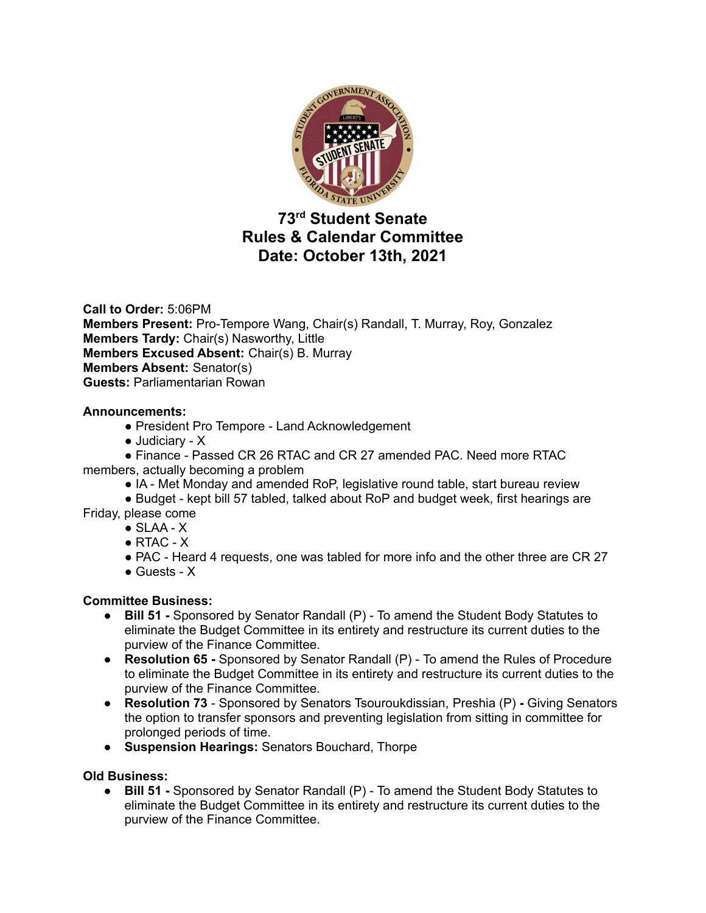

# **73 rd Student Senate Rules & Calendar Committee Date: October 13th, 2021**

**Call to Order:** 5:06PM **Members Present:** Pro-Tempore Wang, Chair(s) Randall, T. Murray, Roy, Gonzalez **Members Tardy:** Chair(s) Nasworthy, Little **Members Excused Absent:** Chair(s) B. Murray **Members Absent:** Senator(s) **Guests:** Parliamentarian Rowan

# **Announcements:**

- President Pro Tempore Land Acknowledgement
- Judiciary X

● Finance - Passed CR 26 RTAC and CR 27 amended PAC. Need more RTAC members, actually becoming a problem

● IA - Met Monday and amended RoP, legislative round table, start bureau review

● Budget - kept bill 57 tabled, talked about RoP and budget week, first hearings are Friday, please come

- $\bullet$  SLAA  $X$
- $\bullet$  RTAC  $X$
- PAC Heard 4 requests, one was tabled for more info and the other three are CR 27
- $\bullet$  Guests X

# **Committee Business:**

- **Bill 51 -** Sponsored by Senator Randall (P) To amend the Student Body Statutes to eliminate the Budget Committee in its entirety and restructure its current duties to the purview of the Finance Committee.
- **● Resolution 65 -** Sponsored by Senator Randall (P) To amend the Rules of Procedure to eliminate the Budget Committee in its entirety and restructure its current duties to the purview of the Finance Committee.
- **● Resolution 73** Sponsored by Senators Tsouroukdissian, Preshia (P) **-** Giving Senators the option to transfer sponsors and preventing legislation from sitting in committee for prolonged periods of time.
- **● Suspension Hearings:** Senators Bouchard, Thorpe

# **Old Business:**

● **Bill 51 -** Sponsored by Senator Randall (P) - To amend the Student Body Statutes to eliminate the Budget Committee in its entirety and restructure its current duties to the purview of the Finance Committee.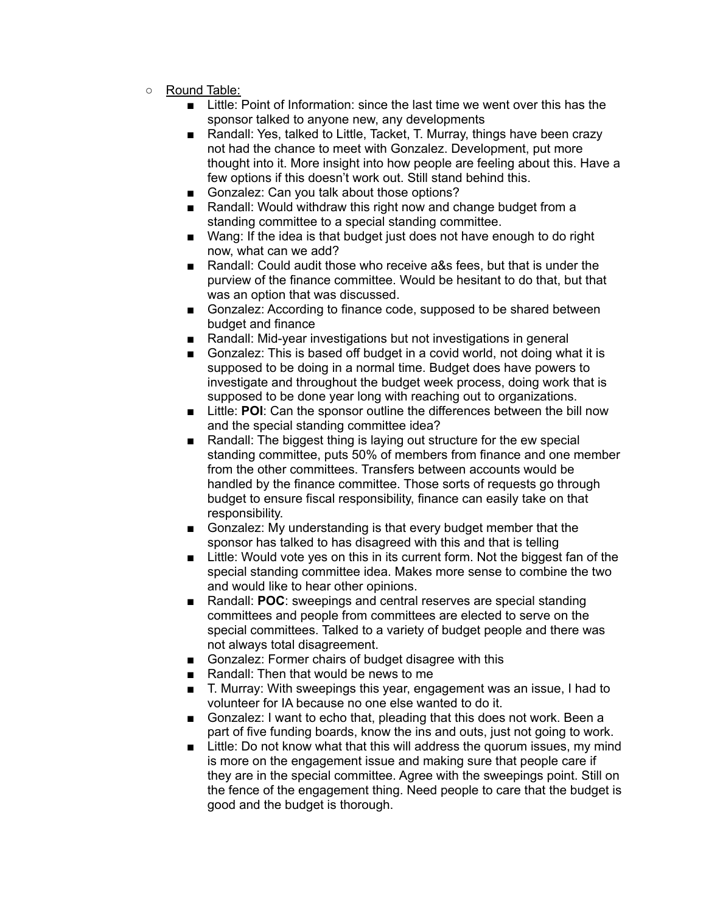- Round Table:
	- Little: Point of Information: since the last time we went over this has the sponsor talked to anyone new, any developments
	- Randall: Yes, talked to Little, Tacket, T. Murray, things have been crazy not had the chance to meet with Gonzalez. Development, put more thought into it. More insight into how people are feeling about this. Have a few options if this doesn't work out. Still stand behind this.
	- Gonzalez: Can you talk about those options?
	- Randall: Would withdraw this right now and change budget from a standing committee to a special standing committee.
	- Wang: If the idea is that budget just does not have enough to do right now, what can we add?
	- Randall: Could audit those who receive a&s fees, but that is under the purview of the finance committee. Would be hesitant to do that, but that was an option that was discussed.
	- Gonzalez: According to finance code, supposed to be shared between budget and finance
	- Randall: Mid-year investigations but not investigations in general
	- Gonzalez: This is based off budget in a covid world, not doing what it is supposed to be doing in a normal time. Budget does have powers to investigate and throughout the budget week process, doing work that is supposed to be done year long with reaching out to organizations.
	- Little: **POI**: Can the sponsor outline the differences between the bill now and the special standing committee idea?
	- Randall: The biggest thing is laying out structure for the ew special standing committee, puts 50% of members from finance and one member from the other committees. Transfers between accounts would be handled by the finance committee. Those sorts of requests go through budget to ensure fiscal responsibility, finance can easily take on that responsibility.
	- Gonzalez: My understanding is that every budget member that the sponsor has talked to has disagreed with this and that is telling
	- Little: Would vote yes on this in its current form. Not the biggest fan of the special standing committee idea. Makes more sense to combine the two and would like to hear other opinions.
	- Randall: **POC**: sweepings and central reserves are special standing committees and people from committees are elected to serve on the special committees. Talked to a variety of budget people and there was not always total disagreement.
	- Gonzalez: Former chairs of budget disagree with this
	- Randall: Then that would be news to me
	- T. Murray: With sweepings this year, engagement was an issue, I had to volunteer for IA because no one else wanted to do it.
	- Gonzalez: I want to echo that, pleading that this does not work. Been a part of five funding boards, know the ins and outs, just not going to work.
	- Little: Do not know what that this will address the quorum issues, my mind is more on the engagement issue and making sure that people care if they are in the special committee. Agree with the sweepings point. Still on the fence of the engagement thing. Need people to care that the budget is good and the budget is thorough.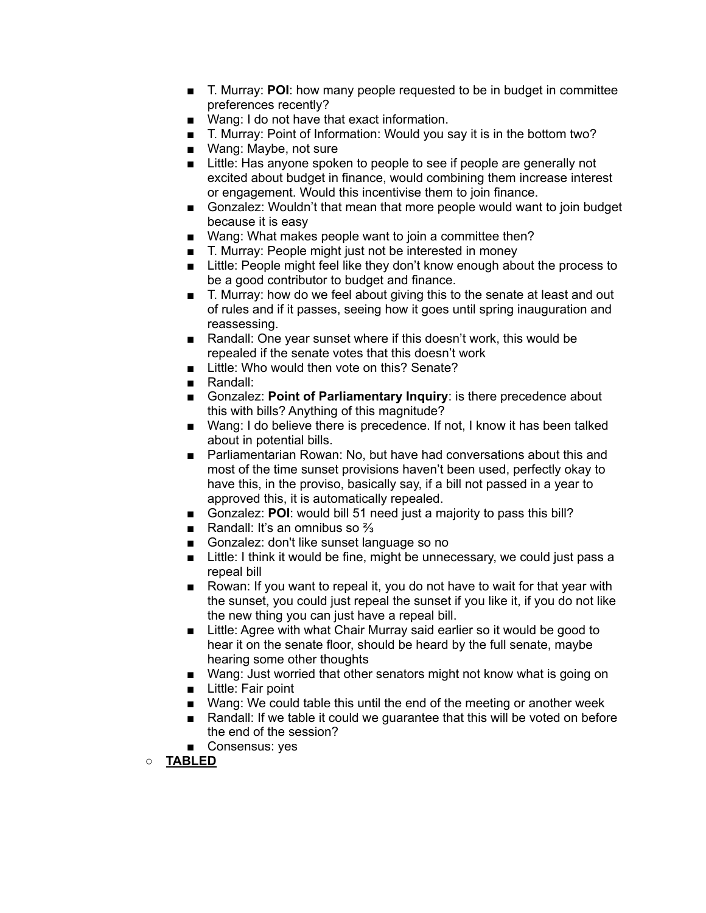- T. Murray: **POI**: how many people requested to be in budget in committee preferences recently?
- Wang: I do not have that exact information.
- T. Murray: Point of Information: Would you say it is in the bottom two?
- Wang: Maybe, not sure
- Little: Has anyone spoken to people to see if people are generally not excited about budget in finance, would combining them increase interest or engagement. Would this incentivise them to join finance.
- Gonzalez: Wouldn't that mean that more people would want to join budget because it is easy
- Wang: What makes people want to join a committee then?
- T. Murray: People might just not be interested in money
- Little: People might feel like they don't know enough about the process to be a good contributor to budget and finance.
- T. Murray: how do we feel about giving this to the senate at least and out of rules and if it passes, seeing how it goes until spring inauguration and reassessing.
- Randall: One year sunset where if this doesn't work, this would be repealed if the senate votes that this doesn't work
- Little: Who would then vote on this? Senate?
- Randall:
- Gonzalez: **Point of Parliamentary Inquiry**: is there precedence about this with bills? Anything of this magnitude?
- Wang: I do believe there is precedence. If not, I know it has been talked about in potential bills.
- Parliamentarian Rowan: No, but have had conversations about this and most of the time sunset provisions haven't been used, perfectly okay to have this, in the proviso, basically say, if a bill not passed in a year to approved this, it is automatically repealed.
- Gonzalez: **POI**: would bill 51 need just a majority to pass this bill?
- Randall: It's an omnibus so <sup>2</sup>/<sub>3</sub>
- Gonzalez: don't like sunset language so no
- Little: I think it would be fine, might be unnecessary, we could just pass a repeal bill
- Rowan: If you want to repeal it, you do not have to wait for that year with the sunset, you could just repeal the sunset if you like it, if you do not like the new thing you can just have a repeal bill.
- Little: Agree with what Chair Murray said earlier so it would be good to hear it on the senate floor, should be heard by the full senate, maybe hearing some other thoughts
- Wang: Just worried that other senators might not know what is going on
- Little: Fair point
- Wang: We could table this until the end of the meeting or another week
- Randall: If we table it could we quarantee that this will be voted on before the end of the session?
- Consensus: yes
- **○ TABLED**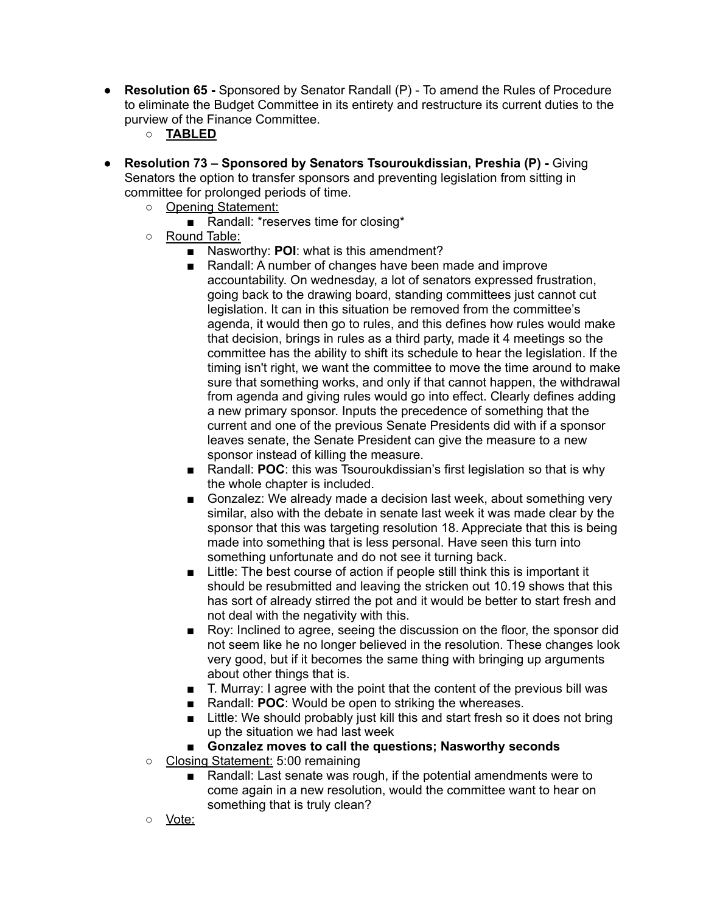- **● Resolution 65 -** Sponsored by Senator Randall (P) To amend the Rules of Procedure to eliminate the Budget Committee in its entirety and restructure its current duties to the purview of the Finance Committee.
	- **○ TABLED**
- **● Resolution 73 – Sponsored by Senators Tsouroukdissian, Preshia (P) -** Giving Senators the option to transfer sponsors and preventing legislation from sitting in committee for prolonged periods of time.
	- Opening Statement:
		- Randall: \*reserves time for closing\*
	- Round Table:
		- Nasworthy: **POI**: what is this amendment?
		- Randall: A number of changes have been made and improve accountability. On wednesday, a lot of senators expressed frustration, going back to the drawing board, standing committees just cannot cut legislation. It can in this situation be removed from the committee's agenda, it would then go to rules, and this defines how rules would make that decision, brings in rules as a third party, made it 4 meetings so the committee has the ability to shift its schedule to hear the legislation. If the timing isn't right, we want the committee to move the time around to make sure that something works, and only if that cannot happen, the withdrawal from agenda and giving rules would go into effect. Clearly defines adding a new primary sponsor. Inputs the precedence of something that the current and one of the previous Senate Presidents did with if a sponsor leaves senate, the Senate President can give the measure to a new sponsor instead of killing the measure.
		- Randall: **POC**: this was Tsouroukdissian's first legislation so that is why the whole chapter is included.
		- Gonzalez: We already made a decision last week, about something very similar, also with the debate in senate last week it was made clear by the sponsor that this was targeting resolution 18. Appreciate that this is being made into something that is less personal. Have seen this turn into something unfortunate and do not see it turning back.
		- Little: The best course of action if people still think this is important it should be resubmitted and leaving the stricken out 10.19 shows that this has sort of already stirred the pot and it would be better to start fresh and not deal with the negativity with this.
		- Roy: Inclined to agree, seeing the discussion on the floor, the sponsor did not seem like he no longer believed in the resolution. These changes look very good, but if it becomes the same thing with bringing up arguments about other things that is.
		- T. Murray: I agree with the point that the content of the previous bill was
		- Randall: **POC**: Would be open to striking the whereases.
		- Little: We should probably just kill this and start fresh so it does not bring up the situation we had last week
		- **■ Gonzalez moves to call the questions; Nasworthy seconds**
	- Closing Statement: 5:00 remaining
		- Randall: Last senate was rough, if the potential amendments were to come again in a new resolution, would the committee want to hear on something that is truly clean?
	- Vote: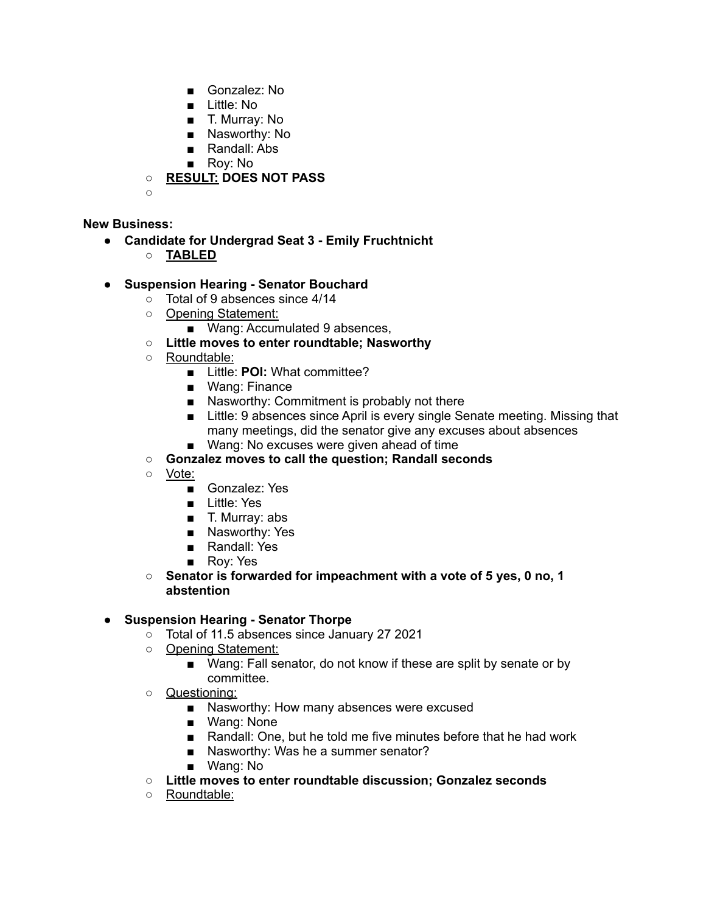- Gonzalez: No
- Little: No
- T. Murray: No
- Nasworthy: No
- Randall: Abs
- Roy: No

**○ RESULT: DOES NOT PASS**

**○**

# **New Business:**

- **● Candidate for Undergrad Seat 3 - Emily Fruchtnicht**
	- **○ TABLED**

# **● Suspension Hearing - Senator Bouchard**

- Total of 9 absences since 4/14
- Opening Statement:
	- Wang: Accumulated 9 absences,
- **○ Little moves to enter roundtable; Nasworthy**
- Roundtable:
	- Little: **POI:** What committee?
	- Wang: Finance
	- Nasworthy: Commitment is probably not there
	- Little: 9 absences since April is every single Senate meeting. Missing that many meetings, did the senator give any excuses about absences
	- Wang: No excuses were given ahead of time
- **○ Gonzalez moves to call the question; Randall seconds**
- Vote:
	- Gonzalez: Yes
	- Little: Yes
	- T. Murray: abs
	- Nasworthy: Yes
	- Randall: Yes
	- Roy: Yes
- **○ Senator is forwarded for impeachment with a vote of 5 yes, 0 no, 1 abstention**

#### **● Suspension Hearing - Senator Thorpe**

- Total of 11.5 absences since January 27 2021
- Opening Statement:
	- Wang: Fall senator, do not know if these are split by senate or by committee.
- Questioning:
	- Nasworthy: How many absences were excused
	- Wang: None
	- Randall: One, but he told me five minutes before that he had work
	- Nasworthy: Was he a summer senator?
	- Wang: No
- **○ Little moves to enter roundtable discussion; Gonzalez seconds**
- Roundtable: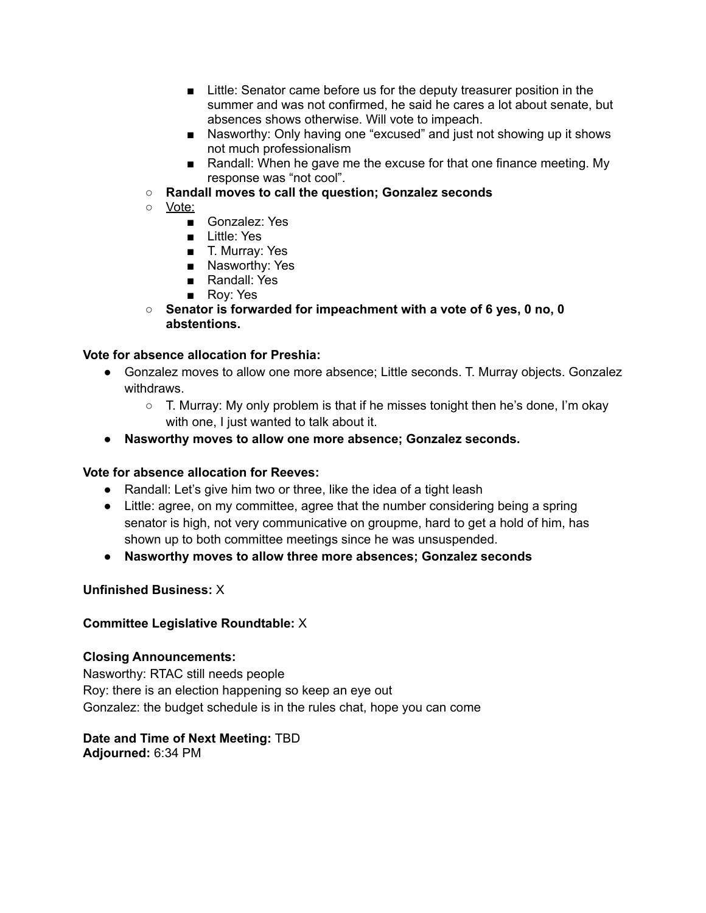- Little: Senator came before us for the deputy treasurer position in the summer and was not confirmed, he said he cares a lot about senate, but absences shows otherwise. Will vote to impeach.
- Nasworthy: Only having one "excused" and just not showing up it shows not much professionalism
- Randall: When he gave me the excuse for that one finance meeting. My response was "not cool".
- **○ Randall moves to call the question; Gonzalez seconds**
- <u>Vote:</u>
	- Gonzalez: Yes
	- Little: Yes
	- T. Murray: Yes
	- Nasworthy: Yes
	- Randall: Yes
	- Roy: Yes
- **○ Senator is forwarded for impeachment with a vote of 6 yes, 0 no, 0 abstentions.**

# **Vote for absence allocation for Preshia:**

- Gonzalez moves to allow one more absence; Little seconds. T. Murray objects. Gonzalez withdraws.
	- T. Murray: My only problem is that if he misses tonight then he's done, I'm okay with one, I just wanted to talk about it.
- **● Nasworthy moves to allow one more absence; Gonzalez seconds.**

#### **Vote for absence allocation for Reeves:**

- Randall: Let's give him two or three, like the idea of a tight leash
- Little: agree, on my committee, agree that the number considering being a spring senator is high, not very communicative on groupme, hard to get a hold of him, has shown up to both committee meetings since he was unsuspended.
- **● Nasworthy moves to allow three more absences; Gonzalez seconds**

#### **Unfinished Business:** X

#### **Committee Legislative Roundtable:** X

#### **Closing Announcements:**

Nasworthy: RTAC still needs people Roy: there is an election happening so keep an eye out Gonzalez: the budget schedule is in the rules chat, hope you can come

**Date and Time of Next Meeting:** TBD **Adjourned:** 6:34 PM